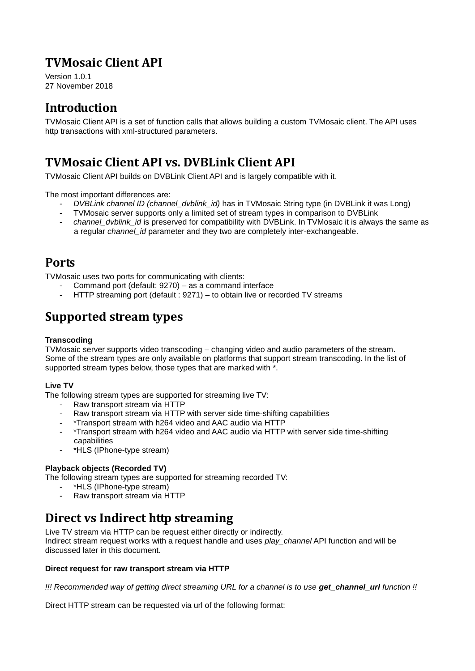# **TVMosaic Client API**

Version 1.0.1 27 November 2018

# **Introduction**

TVMosaic Client API is a set of function calls that allows building a custom TVMosaic client. The API uses http transactions with xml-structured parameters.

# **TVMosaic Client API vs. DVBLink Client API**

TVMosaic Client API builds on DVBLink Client API and is largely compatible with it.

The most important differences are:

- *DVBLink channel ID (channel\_dvblink\_id)* has in TVMosaic String type (in DVBLink it was Long)
- TVMosaic server supports only a limited set of stream types in comparison to DVBLink
- *channel dvblink id* is preserved for compatibility with DVBLink. In TVMosaic it is always the same as a regular *channel\_id* parameter and they two are completely inter-exchangeable.

### **Ports**

TVMosaic uses two ports for communicating with clients:

- Command port (default: 9270) as a command interface
- HTTP streaming port (default : 9271) to obtain live or recorded TV streams

## **Supported stream types**

#### **Transcoding**

TVMosaic server supports video transcoding – changing video and audio parameters of the stream. Some of the stream types are only available on platforms that support stream transcoding. In the list of supported stream types below, those types that are marked with \*.

### **Live TV**

The following stream types are supported for streaming live TV:

- Raw transport stream via HTTP
- Raw transport stream via HTTP with server side time-shifting capabilities
- \*Transport stream with h264 video and AAC audio via HTTP
- \*Transport stream with h264 video and AAC audio via HTTP with server side time-shifting capabilities
- \*HLS (IPhone-type stream)

#### **Playback objects (Recorded TV)**

The following stream types are supported for streaming recorded TV:

- \*HLS (IPhone-type stream)
- Raw transport stream via HTTP

## **Direct vs Indirect http streaming**

Live TV stream via HTTP can be request either directly or indirectly.

Indirect stream request works with a request handle and uses *play\_channel* API function and will be discussed later in this document.

#### **Direct request for raw transport stream via HTTP**

*!!! Recommended way of getting direct streaming URL for a channel is to use get\_channel\_url function !!*

Direct HTTP stream can be requested via url of the following format: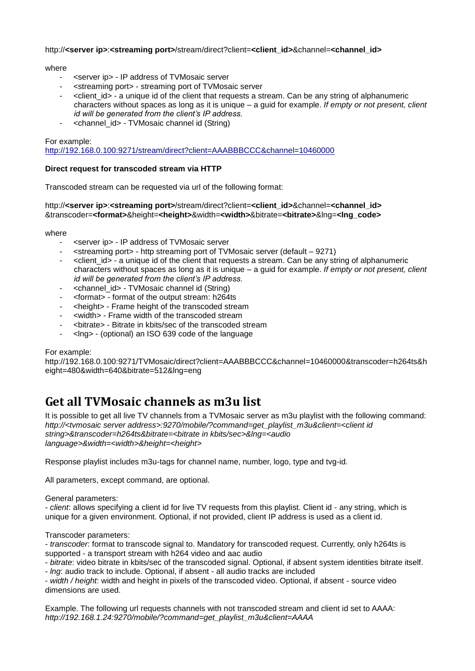#### http://**<server ip>**:**<streaming port>**/stream/direct?client=**<client\_id>**&channel=**<channel\_id>**

#### where

- <server ip > IP address of TVMosaic server
- <streaming port> streaming port of TVMosaic server
- <client id> a unique id of the client that requests a stream. Can be any string of alphanumeric characters without spaces as long as it is unique – a guid for example. *If empty or not present, client id will be generated from the client's IP address.*
- <channel\_id> TVMosaic channel id (String)

#### For example:

<http://192.168.0.100:9271/stream/direct?client=AAABBBCCC&channel=10460000>

#### **Direct request for transcoded stream via HTTP**

Transcoded stream can be requested via url of the following format:

http://**<server ip>**:**<streaming port>**/stream/direct?client=**<client\_id>**&channel=**<channel\_id>** &transcoder=**<format>**&height=**<height>**&width=**<width>**&bitrate=**<bitrate>**&lng=**<lng\_code>**

#### where

- <server ip> IP address of TVMosaic server
- <streaming port> http streaming port of TVMosaic server (default 9271)
- <client\_id> a unique id of the client that requests a stream. Can be any string of alphanumeric characters without spaces as long as it is unique – a guid for example. *If empty or not present, client id will be generated from the client's IP address.*
- <channel id> TVMosaic channel id (String)
- <format> format of the output stream: h264ts
- <height> Frame height of the transcoded stream
- <width> Frame width of the transcoded stream
- <bitrate> Bitrate in kbits/sec of the transcoded stream
- <lng> (optional) an ISO 639 code of the language

#### For example:

http://192.168.0.100:9271/TVMosaic/direct?client=AAABBBCCC&channel=10460000&transcoder=h264ts&h eight=480&width=640&bitrate=512&lng=eng

## **Get all TVMosaic channels as m3u list**

It is possible to get all live TV channels from a TVMosaic server as m3u playlist with the following command: *http://<tvmosaic server address>:9270/mobile/?command=get\_playlist\_m3u&client=<client id string>&transcoder=h264ts&bitrate=<bitrate in kbits/sec>&lng=<audio language>&width=<width>&height=<height>*

Response playlist includes m3u-tags for channel name, number, logo, type and tvg-id.

All parameters, except command, are optional.

#### General parameters:

- *client*: allows specifying a client id for live TV requests from this playlist. Client id - any string, which is unique for a given environment. Optional, if not provided, client IP address is used as a client id.

Transcoder parameters:

- *transcoder*: format to transcode signal to. Mandatory for transcoded request. Currently, only h264ts is supported - a transport stream with h264 video and aac audio

- *bitrate*: video bitrate in kbits/sec of the transcoded signal. Optional, if absent system identities bitrate itself.

- *lng*: audio track to include. Optional, if absent - all audio tracks are included

- *width / height*: width and height in pixels of the transcoded video. Optional, if absent - source video dimensions are used.

Example. The following url requests channels with not transcoded stream and client id set to AAAA: *http://192.168.1.24:9270/mobile/?command=get\_playlist\_m3u&client=AAAA*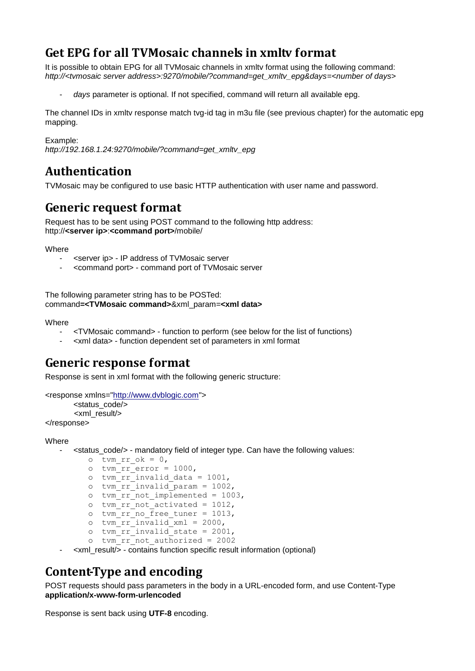# **Get EPG for all TVMosaic channels in xmltv format**

It is possible to obtain EPG for all TVMosaic channels in xmltv format using the following command: *http://<tvmosaic server address>:9270/mobile/?command=get\_xmltv\_epg&days=<number of days>*

days parameter is optional. If not specified, command will return all available epg.

The channel IDs in xmltv response match tvg-id tag in m3u file (see previous chapter) for the automatic epg mapping.

Example:

*http://192.168.1.24:9270/mobile/?command=get\_xmltv\_epg*

### **Authentication**

TVMosaic may be configured to use basic HTTP authentication with user name and password.

### **Generic request format**

Request has to be sent using POST command to the following http address: http://**<server ip>**:**<command port>**/mobile/

Where

- <server ip> IP address of TVMosaic server
- <command port> command port of TVMosaic server

The following parameter string has to be POSTed: command**=<TVMosaic command>**&xml\_param=**<xml data>**

#### **Where**

- <TVMosaic command> function to perform (see below for the list of functions)
- <xml data> function dependent set of parameters in xml format

### **Generic response format**

Response is sent in xml format with the following generic structure:

```
<response xmlns="http://www.dvblogic.com">
       <status_code/>
        <xml_result/>
</response>
```
#### Where

- <status\_code/> - mandatory field of integer type. Can have the following values:

```
o tvm rr ok = 0,
\overline{c} tvm rr error = 1000,
o tvm\bar{r}rr\bar{r}invalid data = 1001,
o \text{tvm}\rr\text{invalid}\param = 1002,
o tvm rr not implemented = 1003,
o tvm rr not activated = 1012,
o tvm rr no free tuner = 1013,
o \bar{x} tvm \bar{x} rr invalid \bar{x}ml = 2000,
o \text{tvm}\space \text{rr}\space invalid_state = 2001,
o \bar{t} tvm \bar{r} not authorized = 2002
```
- <xml\_result/> - contains function specific result information (optional)

### **Content-Type and encoding**

POST requests should pass parameters in the body in a URL-encoded form, and use Content-Type **application/x-www-form-urlencoded**

Response is sent back using **UTF-8** encoding.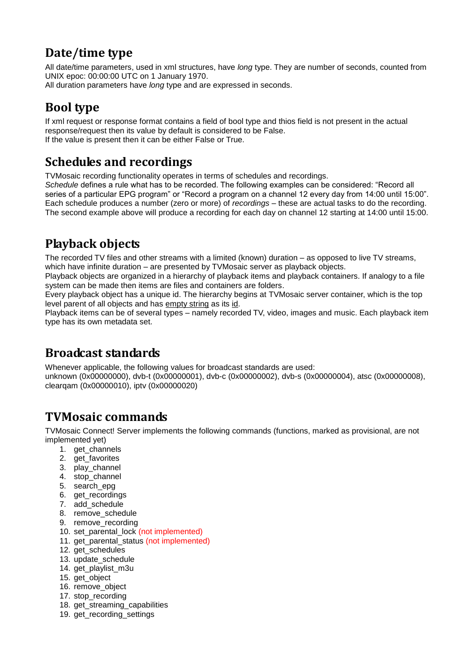# **Date/time type**

All date/time parameters, used in xml structures, have *long* type. They are number of seconds, counted from UNIX epoc: 00:00:00 UTC on 1 January 1970. All duration parameters have *long* type and are expressed in seconds.

# **Bool type**

If xml request or response format contains a field of bool type and thios field is not present in the actual response/request then its value by default is considered to be False. If the value is present then it can be either False or True.

# **Schedules and recordings**

TVMosaic recording functionality operates in terms of schedules and recordings.

*Schedule* defines a rule what has to be recorded. The following examples can be considered: "Record all series of a particular EPG program" or "Record a program on a channel 12 every day from 14:00 until 15:00". Each schedule produces a number (zero or more) of *recordings* – these are actual tasks to do the recording. The second example above will produce a recording for each day on channel 12 starting at 14:00 until 15:00.

# **Playback objects**

The recorded TV files and other streams with a limited (known) duration – as opposed to live TV streams, which have infinite duration – are presented by TVMosaic server as playback objects.

Playback objects are organized in a hierarchy of playback items and playback containers. If analogy to a file system can be made then items are files and containers are folders.

Every playback object has a unique id. The hierarchy begins at TVMosaic server container, which is the top level parent of all objects and has empty string as its id.

Playback items can be of several types – namely recorded TV, video, images and music. Each playback item type has its own metadata set.

# **Broadcast standards**

Whenever applicable, the following values for broadcast standards are used: unknown (0x00000000), dvb-t (0x00000001), dvb-c (0x00000002), dvb-s (0x00000004), atsc (0x00000008), clearqam (0x00000010), iptv (0x00000020)

# **TVMosaic commands**

TVMosaic Connect! Server implements the following commands (functions, marked as provisional, are not implemented yet)

- 1. get\_channels
- 2. get favorites
- 3. play\_channel
- 4. stop\_channel
- 5. search\_epg
- 6. get recordings
- 7. add\_schedule
- 8. remove\_schedule
- 9. remove\_recording
- 10. set\_parental\_lock (not implemented)
- 11. get parental status (not implemented)
- 12. get\_schedules
- 13. update\_schedule
- 14. get\_playlist\_m3u
- 15. get\_object
- 16. remove\_object
- 17. stop\_recording
- 18. get\_streaming\_capabilities
- 19. get\_recording\_settings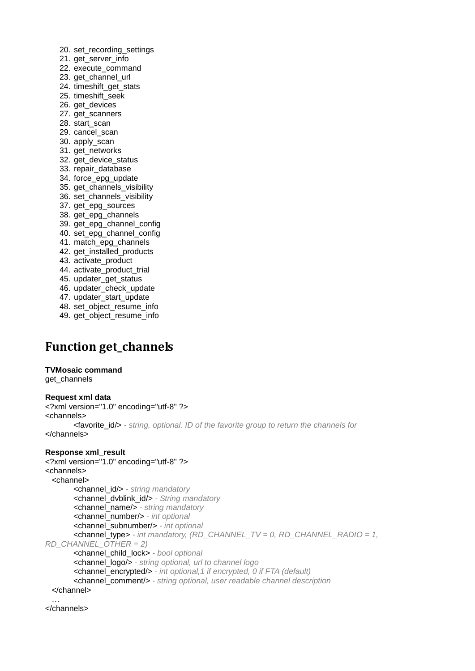- 20. set\_recording\_settings
- 21. get\_server\_info
- 22. execute\_command
- 23. get channel url
- 24. timeshift\_get\_stats
- 25. timeshift\_seek
- 26. get\_devices
- 27. get\_scanners
- 28. start\_scan
- 29. cancel\_scan
- 30. apply\_scan
- 31. get\_networks
- 32. get\_device\_status
- 33. repair\_database
- 34. force\_epg\_update
- 35. get\_channels\_visibility 36. set\_channels\_visibility
- 37. get\_epg\_sources
- 38. get\_epg\_channels
- 39. get\_epg\_channel\_config
- 40. set\_epg\_channel\_config
- 41. match\_epg\_channels
- 42. get\_installed\_products
- 43. activate\_product
- 44. activate\_product\_trial
- 45. updater\_get\_status
- 46. updater check update
- 47. updater start update
- 48. set object resume info
- 49. get\_object\_resume\_info

## **Function get\_channels**

#### **TVMosaic command**

get\_channels

#### **Request xml data**

<?xml version="1.0" encoding="utf-8" ?> <channels> <favorite\_id/> *- string, optional. ID of the favorite group to return the channels for* </channels>

#### **Response xml\_result**

```
<?xml version="1.0" encoding="utf-8" ?> 
<channels>
  <channel>
       <channel_id/> - string mandatory
       <channel_dvblink_id/> - String mandatory
       <channel_name/> - string mandatory
       <channel_number/> - int optional
       <channel_subnumber/> - int optional
       <channel_type> - int mandatory, (RD_CHANNEL_TV = 0, RD_CHANNEL_RADIO = 1, 
RD_CHANNEL_OTHER = 2)
       <channel_child_lock> - bool optional
       <channel_logo/> - string optional, url to channel logo
       <channel_encrypted/> - int optional,1 if encrypted, 0 if FTA (default)
       <channel_comment/> - string optional, user readable channel description
  </channel>
 …
```
</channels>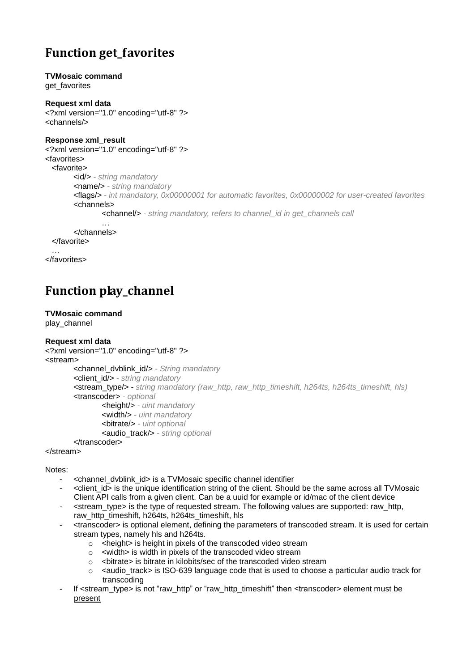# **Function get\_favorites**

## **TVMosaic command**

get favorites

**Request xml data** <?xml version="1.0" encoding="utf-8" ?> <channels/>

#### **Response xml\_result**

```
<?xml version="1.0" encoding="utf-8" ?> 
<favorites>
   <favorite>
       <id/> - string mandatory
       <name/> - string mandatory
       <flags/> - int mandatory, 0x00000001 for automatic favorites, 0x00000002 for user-created favorites
       <channels>
               <channel/> - string mandatory, refers to channel_id in get_channels call
                …
```
</channels> </favorite>

</favorites>

# **Function play\_channel**

#### **TVMosaic command**

play\_channel

### **Request xml data**

```
<?xml version="1.0" encoding="utf-8" ?> 
<stream>
        <channel_dvblink_id/> - String mandatory
        <client_id/> - string mandatory
        <stream_type/> - string mandatory (raw_http, raw_http_timeshift, h264ts, h264ts_timeshift, hls)
        <transcoder> - optional
                <height/> - uint mandatory
                <width/> - uint mandatory
                <bitrate/> - uint optional
                <audio_track/> - string optional
        </transcoder>
```
</stream>

#### Notes:

- <channel\_dvblink\_id> is a TVMosaic specific channel identifier
- <client\_id> is the unique identification string of the client. Should be the same across all TVMosaic Client API calls from a given client. Can be a uuid for example or id/mac of the client device
- <stream\_type> is the type of requested stream. The following values are supported: raw\_http, raw\_http\_timeshift, h264ts, h264ts\_timeshift, hls
- <transcoder> is optional element, defining the parameters of transcoded stream. It is used for certain stream types, namely hls and h264ts.
	- o <height> is height in pixels of the transcoded video stream
	- o <width> is width in pixels of the transcoded video stream
	- $\circ$  <bitrate> is bitrate in kilobits/sec of the transcoded video stream
	- o <audio\_track> is ISO-639 language code that is used to choose a particular audio track for transcoding
- If <stream\_type> is not "raw\_http" or "raw\_http\_timeshift" then <transcoder> element must be present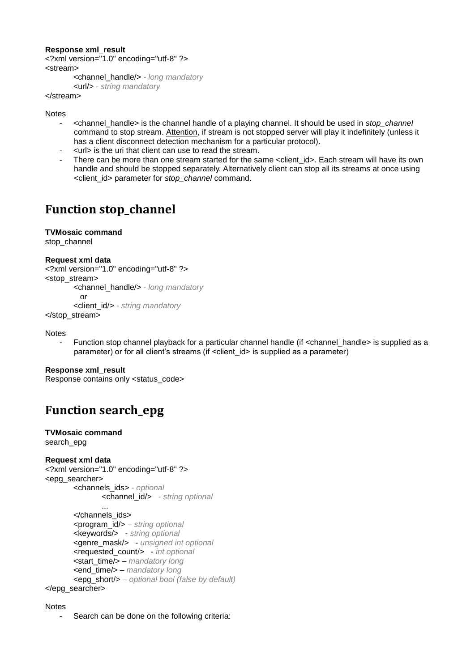#### **Response xml\_result**

```
<?xml version="1.0" encoding="utf-8" ?> 
<stream>
       <channel_handle/> - long mandatory
```
<url/> *- string mandatory*

</stream>

Notes

- <channel\_handle> is the channel handle of a playing channel. It should be used in *stop\_channel* command to stop stream. Attention, if stream is not stopped server will play it indefinitely (unless it has a client disconnect detection mechanism for a particular protocol).
- <url> is the uri that client can use to read the stream.
- There can be more than one stream started for the same <client\_id>. Each stream will have its own handle and should be stopped separately. Alternatively client can stop all its streams at once using <client\_id> parameter for *stop\_channel* command.

# **Function stop\_channel**

#### **TVMosaic command**

stop\_channel

#### **Request xml data**

```
<?xml version="1.0" encoding="utf-8" ?> 
<stop_stream>
       <channel_handle/> - long mandatory
          or
       <client_id/> - string mandatory
</stop_stream>
```
Notes

Function stop channel playback for a particular channel handle (if <channel handle> is supplied as a parameter) or for all client's streams (if <client id> is supplied as a parameter)

#### **Response xml\_result**

Response contains only <status\_code>

# **Function search\_epg**

#### **TVMosaic command**

search\_epg

#### **Request xml data**

```
<?xml version="1.0" encoding="utf-8" ?> 
<epg_searcher>
       <channels_ids> - optional
               <channel_id/> - string optional
```

```
...
       </channels_ids>
       <program_id/> – string optional
       <keywords/> - string optional
       <genre_mask/> - unsigned int optional
       <requested_count/> - int optional
       <start_time/> – mandatory long
        <end_time/> – mandatory long
       <epg_short/> – optional bool (false by default)
</epg_searcher>
```
#### Notes

Search can be done on the following criteria: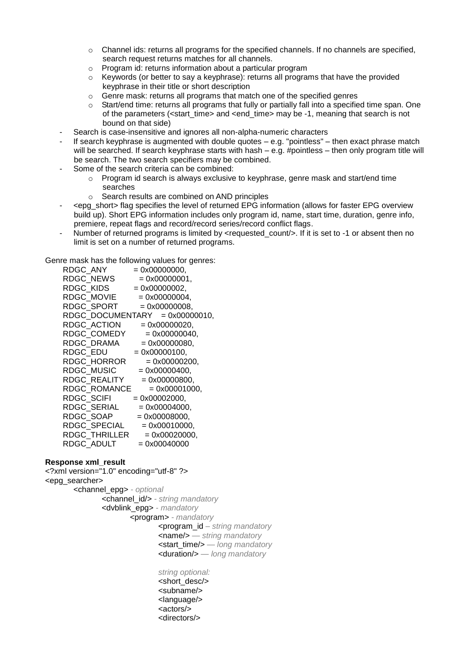- $\circ$  Channel ids: returns all programs for the specified channels. If no channels are specified, search request returns matches for all channels.
- o Program id: returns information about a particular program
- $\circ$  Keywords (or better to say a keyphrase): returns all programs that have the provided keyphrase in their title or short description
- o Genre mask: returns all programs that match one of the specified genres
- $\circ$  Start/end time: returns all programs that fully or partially fall into a specified time span. One of the parameters (<start\_time> and <end\_time> may be -1, meaning that search is not bound on that side)
- Search is case-insensitive and ignores all non-alpha-numeric characters
- If search keyphrase is augmented with double quotes e.g. "pointless" then exact phrase match will be searched. If search keyphrase starts with hash – e.g. #pointless – then only program title will be search. The two search specifiers may be combined.
- Some of the search criteria can be combined:
	- o Program id search is always exclusive to keyphrase, genre mask and start/end time searches
	- o Search results are combined on AND principles
- <epg\_short> flag specifies the level of returned EPG information (allows for faster EPG overview build up). Short EPG information includes only program id, name, start time, duration, genre info, premiere, repeat flags and record/record series/record conflict flags.
- Number of returned programs is limited by <requested count/>. If it is set to -1 or absent then no limit is set on a number of returned programs.

Genre mask has the following values for genres:

| RDGC ANY |                                |                 | $= 0x00000000,$ |  |
|----------|--------------------------------|-----------------|-----------------|--|
|          | RDGC_NEWS                      |                 | $= 0x00000001,$ |  |
|          | RDGC KIDS                      |                 | $= 0x00000002,$ |  |
|          | RDGC_MOVIE                     |                 | $= 0x00000004,$ |  |
|          | $RDC\_SPORT$ = 0x00000008,     |                 |                 |  |
|          | RDGC_DOCUMENTARY = 0x00000010, |                 |                 |  |
|          | RDGC ACTION                    |                 | $= 0x00000020,$ |  |
|          | RDGC COMEDY                    |                 | $= 0x00000040,$ |  |
|          | RDGC DRAMA                     |                 | $= 0x00000080,$ |  |
| RDGC EDU |                                |                 | $= 0x00000100,$ |  |
|          | RDGC HORROR                    |                 | $= 0x00000200,$ |  |
|          | RDGC MUSIC                     |                 | $= 0x00000400,$ |  |
|          | RDGC REALITY                   |                 | $= 0x00000800,$ |  |
|          | RDGC ROMANCE                   |                 | $= 0x00001000,$ |  |
|          | RDGC SCIFI                     | $= 0x00002000,$ |                 |  |
|          | RDGC SERIAL                    |                 | $= 0x00004000,$ |  |
|          | RDGC_SOAP                      |                 | $= 0x00008000,$ |  |
|          | RDGC SPECIAL                   |                 | $= 0x00010000,$ |  |
|          | $RDC$ THRILLER $= 0x00020000,$ |                 |                 |  |
|          | $RDC$ $ADULT$ = 0x00040000     |                 |                 |  |
|          |                                |                 |                 |  |

#### **Response xml\_result**

<?xml version="1.0" encoding="utf-8" ?> <epg\_searcher> <channel\_epg> *- optional* <channel\_id/> *- string mandatory* <dvblink\_epg> *- mandatory* <program> *- mandatory* <program\_id *– string mandatory* <name/> *— string mandatory* <start\_time/> *— long mandatory* <duration/> *— long mandatory string optional:*

<short\_desc/> <subname/> <language/> <actors/> <directors/>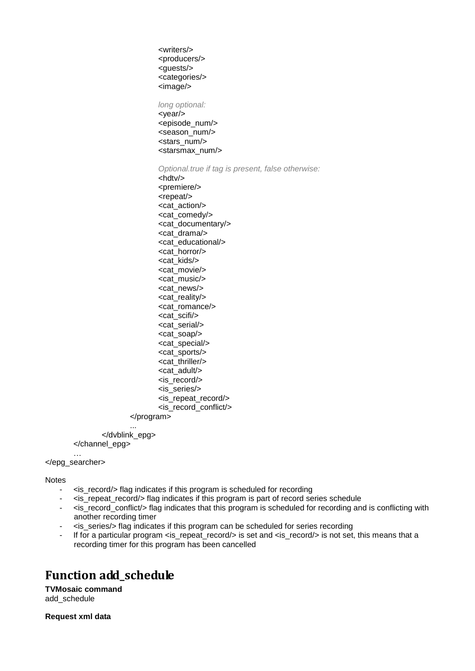<writers/> <producers/> <guests/> <categories/> <image/>

*long optional:* <year/> <episode\_num/> <season\_num/> <stars\_num/> <starsmax\_num/>

*Optional.true if tag is present, false otherwise:*

<hdtv/> <premiere/> <repeat/> <cat\_action/> <cat\_comedy/> <cat\_documentary/> <cat\_drama/> <cat\_educational/> <cat\_horror/> <cat\_kids/> <cat\_movie/> <cat\_music/> <cat\_news/> <cat\_reality/> <cat\_romance/> <cat\_scifi/> <cat\_serial/> <cat\_soap/> <cat\_special/> <cat\_sports/> <cat\_thriller/> <cat\_adult/> <is\_record/> <is\_series/> <is\_repeat\_record/> <is\_record\_conflict/> </program>

... </dvblink\_epg> </channel\_epg>

… </epg\_searcher>

**Notes** 

- $\leq$   $\leq$  record/> flag indicates if this program is scheduled for recording
- <is\_repeat\_record/> flag indicates if this program is part of record series schedule
- <is\_record\_conflict/> flag indicates that this program is scheduled for recording and is conflicting with another recording timer
- <is\_series/> flag indicates if this program can be scheduled for series recording
- If for a particular program <is\_repeat\_record/> is set and <is\_record/> is not set, this means that a recording timer for this program has been cancelled

## **Function add\_schedule**

**TVMosaic command** add\_schedule

**Request xml data**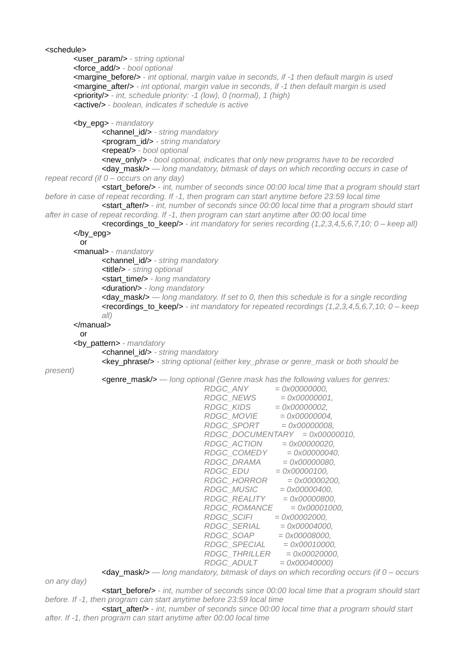```
<schedule>
       <user_param/> - string optional
       <force_add/> - bool optional
       <margine_before/> - int optional, margin value in seconds, if -1 then default margin is used
       <margine_after/> - int optional, margin value in seconds, if -1 then default margin is used
       <priority/> - int, schedule priority: -1 (low), 0 (normal), 1 (high)
       <active/> - boolean, indicates if schedule is active
       <by_epg> - mandatory
              <channel_id/> - string mandatory
               <program_id/> - string mandatory
              <repeat/> - bool optional
              <new_only/> - bool optional, indicates that only new programs have to be recorded
               <day_mask/> — long mandatory, bitmask of days on which recording occurs in case of 
repeat record (if 0 – occurs on any day)
              <start_before/> - int, number of seconds since 00:00 local time that a program should start 
before in case of repeat recording. If -1, then program can start anytime before 23:59 local time
              <start_after/> - int, number of seconds since 00:00 local time that a program should start 
after in case of repeat recording. If -1, then program can start anytime after 00:00 local time
              <recordings_to_keep/> - int mandatory for series recording (1,2,3,4,5,6,7,10; 0 – keep all)
       </by_epg>
         or
       <manual> - mandatory
               <channel_id/> - string mandatory
               <title/> - string optional
               <start_time/> - long mandatory
              <duration/> - long mandatory
               <day_mask/> — long mandatory. If set to 0, then this schedule is for a single recording
              <recordings_to_keep/> - int mandatory for repeated recordings (1,2,3,4,5,6,7,10; 0 – keep 
              all)
       </manual>
         or
       <by_pattern> - mandatory
               <channel_id/> - string mandatory
               <key_phrase/> - string optional (either key_phrase or genre_mask or both should be 
present)
               <genre_mask/> — long optional (Genre mask has the following values for genres:
                                          RDGC_ANY = 0x00000000,
                                          RDGC_NEWS = 0x00000001,
                                         RDGC_KIDS<br>RDGC_MOVIE
                                     RDGC_MOVIE = 0x00000004,
                                     RDGC_SPORT = 0x00000008,
                                          RDGC_DOCUMENTARY = 0x00000010,
                                          RDGC_ACTION = 0x00000020,
                                          RDGC_COMEDY = 0x00000040,
                                          RDGC_DRAMA = 0x00000080,
                                          RDGC_EDU = 0x00000100,
                                          RDGC_HORROR = 0x00000200,
                                          RDGC_MUSIC = 0x00000400,
                                     RDGC_REALITY = 0x00000800,
                                     RDGC_ROMANCE = 0x00001000,
                                     RDGC_SCIFI = 0x00002000,
                                     RDGC_SERIAL = 0x00004000,
                                     RDGC_SOAP = 0x00008000,
                                     RDGC_SPECIAL = 0x00010000,
                                          RDGC_THRILLER = 0x00020000,
                                          RDGC_ADULT = 0x00040000)
               <day_mask/> — long mandatory, bitmask of days on which recording occurs (if 0 – occurs 
on any day)
```
<start\_before/> *- int, number of seconds since 00:00 local time that a program should start before. If -1, then program can start anytime before 23:59 local time*

<start\_after/> *- int, number of seconds since 00:00 local time that a program should start after. If -1, then program can start anytime after 00:00 local time*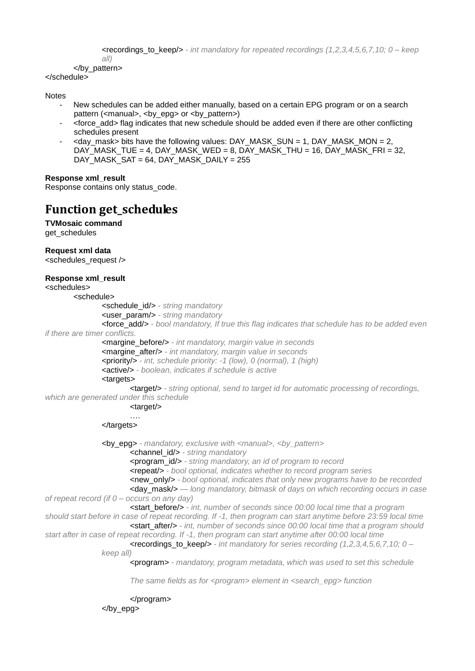```
<recordings_to_keep/> - int mandatory for repeated recordings (1,2,3,4,5,6,7,10; 0 – keep 
all)
```
### </by\_pattern>

</schedule>

#### Notes

- New schedules can be added either manually, based on a certain EPG program or on a search pattern (<manual>, <br epq> or <br ><br >pattern>)
- <force\_add> flag indicates that new schedule should be added even if there are other conflicting schedules present
- $\le$  day mask> bits have the following values: DAY\_MASK\_SUN = 1, DAY\_MASK\_MON = 2, DAY\_MASK\_TUE = 4, DAY\_MASK\_WED = 8, DAY\_MASK\_THU = 16, DAY\_MASK\_FRI = 32, DAY\_MASK\_SAT = 64, DAY\_MASK\_DAILY = 255

#### **Response xml\_result**

Response contains only status\_code.

### **Function get\_schedules**

**TVMosaic command** get\_schedules

**Request xml data**

<schedules\_request />

#### **Response xml\_result**

<schedules>

<schedule>

<schedule\_id/> *- string mandatory*

<user\_param/> *- string mandatory* 

<force\_add/> *- bool mandatory, If true this flag indicates that schedule has to be added even if there are timer conflicts.*

<margine\_before/> *- int mandatory, margin value in seconds* <margine\_after/> *- int mandatory, margin value in seconds* <priority/> *- int, schedule priority: -1 (low), 0 (normal), 1 (high)* <active/> *- boolean, indicates if schedule is active*

#### <targets>

<target/> *- string optional, send to target id for automatic processing of recordings, which are generated under this schedule*

<target/>

….

</targets>

<by\_epg> *- mandatory, exclusive with <manual>, <by\_pattern>* <channel\_id/> *- string mandatory* <program\_id/> *- string mandatory, an id of program to record* <repeat/> *- bool optional, indicates whether to record program series* <new\_only/> *- bool optional, indicates that only new programs have to be recorded* <day\_mask/> *— long mandatory, bitmask of days on which recording occurs in case of repeat record (if 0 – occurs on any day)* <start\_before/> *- int, number of seconds since 00:00 local time that a program should start before in case of repeat recording. If -1, then program can start anytime before 23:59 local time* <start\_after/> *- int, number of seconds since 00:00 local time that a program should start after in case of repeat recording. If -1, then program can start anytime after 00:00 local time* <recordings\_to\_keep/> *- int mandatory for series recording (1,2,3,4,5,6,7,10; 0 – keep all)* <program> *- mandatory, program metadata, which was used to set this schedule The same fields as for <program> element in <search\_epg> function*

> </program> </by\_epg>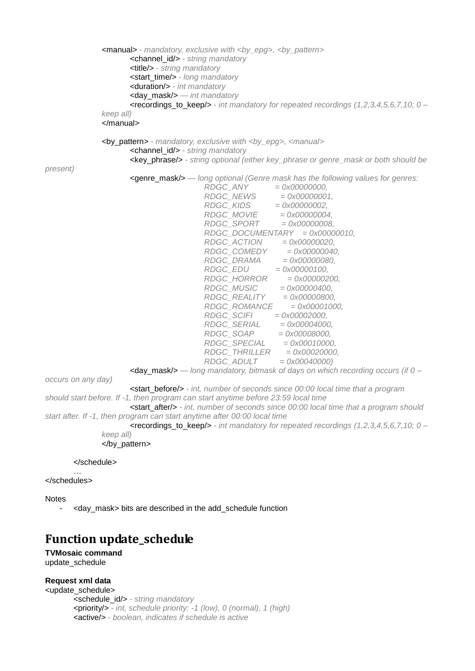```
<manual> - mandatory, exclusive with <by_epg>, <by_pattern>
                    <channel_id/> - string mandatory
                    <title/> - string mandatory
                    <start_time/> - long mandatory
                    <duration/> - int mandatory
                    <day_mask/> — int mandatory
                    <recordings_to_keep/> - int mandatory for repeated recordings (1,2,3,4,5,6,7,10; 0 –
             keep all)
             </manual>
             <by_pattern> - mandatory, exclusive with <by_epg>, <manual>
                     <channel_id/> - string mandatory
                     <key_phrase/> - string optional (either key_phrase or genre_mask or both should be 
present)
                     <genre_mask/> — long optional (Genre mask has the following values for genres:
                                   RDGC_ANY = 0x00000000,
                                   RDGC_NEWS = 0x00000001,
                                   RDGC_KIDS = 0x00000002,
                                   RDGC_MOVIE = 0x00000004,
                                   RDGC_SPORT = 0x00000008,
                                       RDGC_DOCUMENTARY = 0x00000010,
                                       RDGC_ACTION = 0x00000020,
                                       RDGC_COMEDY = 0x00000040,
                                       RDGC_DRAMA = 0x00000080,
                                       RDGC_EDU = 0x00000100,
                                       RDGC_HORROR = 0x00000200,
                                   RDGC_MUSIC = 0x00000400,
                                   RDGC_REALITY = 0x00000800,
                                   RDGC_ROMANCE = 0x00001000,
                                       RDGC_SCIFI = 0x00002000,
                                   RDGC_SERIAL = 0x00004000,
                                   RDGC_SOAP = 0x00008000,
                                   RDGC_SPECIAL = 0x00010000,
                                   RDGC_THRILLER = 0x00020000,
                                       RDGC_ADULT = 0x00040000)
                     <day_mask/> — long mandatory, bitmask of days on which recording occurs (if 0 –
occurs on any day)
                    <start_before/> - int, number of seconds since 00:00 local time that a program 
should start before. If -1, then program can start anytime before 23:59 local time
                    <start_after/> - int, number of seconds since 00:00 local time that a program should 
start after. If -1, then program can start anytime after 00:00 local time
                    <recordings_to_keep/> - int mandatory for repeated recordings (1,2,3,4,5,6,7,10; 0 –
             keep all)
             </by_pattern>
      </schedule>
       …
</schedules>
Notes
```

```
- <day_mask> bits are described in the add_schedule function
```
# **Function update\_schedule**

#### **TVMosaic command** update\_schedule

#### **Request xml data**

<update\_schedule> <schedule\_id/> *- string mandatory* <priority/> *- int, schedule priority: -1 (low), 0 (normal), 1 (high)* <active/> *- boolean, indicates if schedule is active*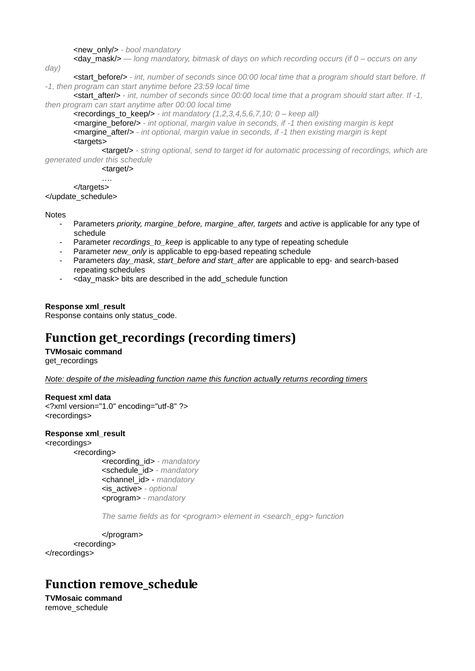<new\_only/> *- bool mandatory*

<day\_mask/> *— long mandatory, bitmask of days on which recording occurs (if 0 – occurs on any* 

*day)*

<start\_before/> *- int, number of seconds since 00:00 local time that a program should start before. If -1, then program can start anytime before 23:59 local time*

**-start after/>** *- int, number of seconds since 00:00 local time that a program should start after. If -1, then program can start anytime after 00:00 local time*

<recordings\_to\_keep/> *- int mandatory (1,2,3,4,5,6,7,10; 0 – keep all)*

<margine\_before/> *- int optional, margin value in seconds, if -1 then existing margin is kept* <margine\_after/> *- int optional, margin value in seconds, if -1 then existing margin is kept* <targets>

<target/> *- string optional, send to target id for automatic processing of recordings, which are generated under this schedule*

<target/>

…. </targets> </update\_schedule>

**Notes** 

- Parameters *priority, margine* before, margine after, targets and *active* is applicable for any type of schedule
- Parameter *recordings* to keep is applicable to any type of repeating schedule
- Parameter *new* only is applicable to epg-based repeating schedule
- Parameters *day\_mask, start\_before and start\_after* are applicable to epg- and search-based repeating schedules
- <day mask> bits are described in the add schedule function

**Response xml\_result**

Response contains only status\_code.

# **Function get\_recordings (recording timers)**

**TVMosaic command**

get\_recordings

*Note: despite of the misleading function name this function actually returns recording timers*

**Request xml data**

<?xml version="1.0" encoding="utf-8" ?> <recordings>

#### **Response xml\_result**

<recordings> <recording>

<recording\_id> *- mandatory* <schedule\_id> *- mandatory* <channel\_id> - *mandatory* <is\_active> *- optional* <program> *- mandatory*

*The same fields as for <program> element in <search\_epg> function*

</program>

<recording> </recordings>

### **Function remove\_schedule**

**TVMosaic command** remove\_schedule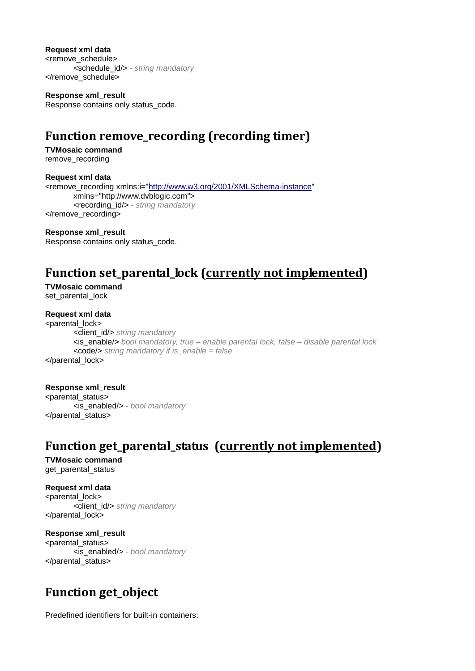**Request xml data**

<remove\_schedule> <schedule\_id/> *- string mandatory* </remove\_schedule>

**Response xml\_result** Response contains only status\_code.

# **Function remove\_recording (recording timer)**

**TVMosaic command** remove\_recording

**Request xml data** <remove\_recording xmlns:i=["http://www.w3.org/2001/XMLSchema-instance"](http://www.w3.org/2001/XMLSchema-instance) xmlns="http://www.dvblogic.com"> <recording\_id/> *- string mandatory* </remove\_recording>

**Response xml\_result** Response contains only status\_code.

# **Function set\_parental\_lock (currently not implemented)**

**TVMosaic command** set\_parental\_lock

#### **Request xml data**

<parental\_lock> <client\_id/> *string mandatory* <is\_enable/> *bool mandatory, true – enable parental lock, false – disable parental lock* <code/> *string mandatory if is\_enable = false* </parental\_lock>

#### **Response xml\_result**

<parental\_status> <is\_enabled/> *- bool mandatory* </parental\_status>

## **Function get\_parental\_status (currently not implemented)**

#### **TVMosaic command** get parental status

**Request xml data**

<parental\_lock> <client\_id/> *string mandatory* </parental\_lock>

### **Response xml\_result**

<parental\_status> <is\_enabled/> *- bool mandatory* </parental\_status>

# **Function get\_object**

Predefined identifiers for built-in containers: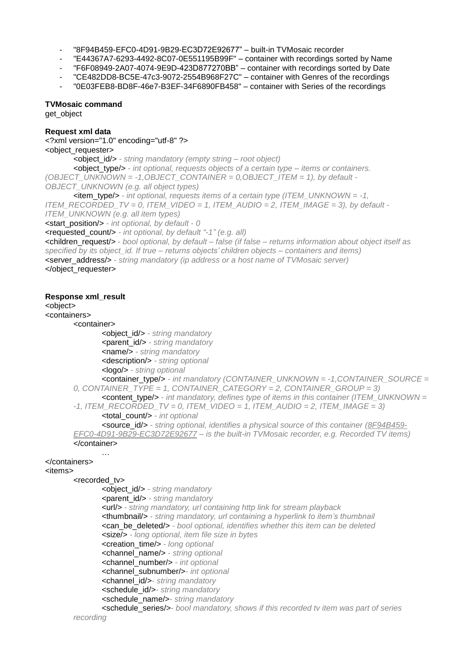- "8F94B459-EFC0-4D91-9B29-EC3D72E92677" built-in TVMosaic recorder
- "E44367A7-6293-4492-8C07-0E551195B99F" container with recordings sorted by Name
- "F6F08949-2A07-4074-9E9D-423D877270BB" container with recordings sorted by Date
- "CE482DD8-BC5E-47c3-9072-2554B968F27C" container with Genres of the recordings
- "0E03FEB8-BD8F-46e7-B3EF-34F6890FB458" container with Series of the recordings

#### **TVMosaic command**

get\_object

#### **Request xml data**

<?xml version="1.0" encoding="utf-8" ?>

<object\_requester>

<object\_id/> *- string mandatory (empty string – root object)*

<object\_type/> *- int optional, requests objects of a certain type – items or containers. (OBJECT\_UNKNOWN = -1,OBJECT\_CONTAINER = 0,OBJECT\_ITEM = 1), by default - OBJECT\_UNKNOWN (e.g. all object types)*

<item\_type/> *- int optional, requests items of a certain type (ITEM\_UNKNOWN = -1, ITEM\_RECORDED\_TV = 0, ITEM\_VIDEO = 1, ITEM\_AUDIO = 2, ITEM\_IMAGE = 3), by default - ITEM\_UNKNOWN (e.g. all item types)*

<start\_position/> *- int optional, by default - 0*

<requested\_count/> *- int optional, by default "-1" (e.g. all)*

<children\_request/> *- bool optional, by default – false (if false – returns information about object itself as specified by its object\_id. If true – returns objects' children objects – containers and items)* <server\_address/> *- string mandatory (ip address or a host name of TVMosaic server)* </object\_requester>

#### **Response xml\_result**

<object>

#### <containers>

<container>

<object\_id/> *- string mandatory* <parent\_id/> *- string mandatory* <name/> *- string mandatory* <description/> *- string optional*

<logo/> *- string optional*

```
<container_type/> - int mandatory (CONTAINER_UNKNOWN = -1,CONTAINER_SOURCE = 
0, CONTAINER_TYPE = 1, CONTAINER_CATEGORY = 2, CONTAINER_GROUP = 3)
       <content_type/> - int mandatory, defines type of items in this container (ITEM_UNKNOWN =
```
*-1, ITEM\_RECORDED\_TV = 0, ITEM\_VIDEO = 1, ITEM\_AUDIO = 2, ITEM\_IMAGE = 3)*

<total\_count/> *- int optional*

<source\_id/> *- string optional, identifies a physical source of this container (8F94B459- EFC0-4D91-9B29-EC3D72E92677 – is the built-in TVMosaic recorder, e.g. Recorded TV items)* </container>

#### </containers>

<items>

#### <recorded\_tv>

…

<object\_id/> *- string mandatory* <parent\_id/> *- string mandatory* <url/> *- string mandatory, url containing http link for stream playback* <thumbnail/> *- string mandatory, url containing a hyperlink to item's thumbnail* <can\_be\_deleted/> *- bool optional, identifies whether this item can be deleted* <size/> *- long optional, item file size in bytes* <creation\_time/> *- long optional* <channel\_name/> *- string optional* <channel\_number/> *- int optional* <channel\_subnumber/>*- int optional* <channel\_id/>*- string mandatory* <schedule\_id/>*- string mandatory* <schedule\_name/>*- string mandatory* <schedule\_series/>*- bool mandatory, shows if this recorded tv item was part of series*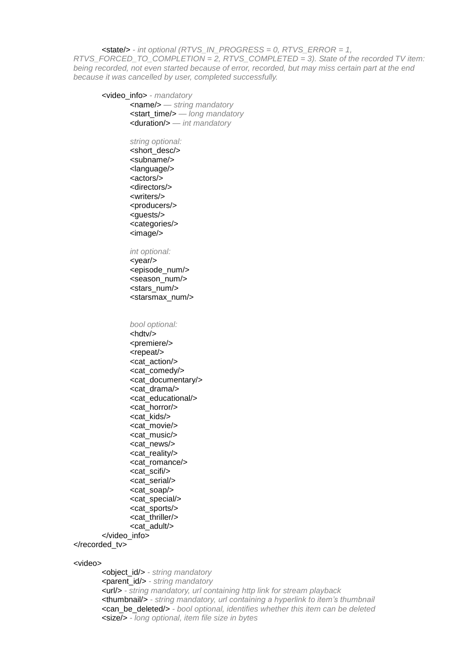<state/> *- int optional (RTVS\_IN\_PROGRESS = 0, RTVS\_ERROR = 1, RTVS\_FORCED\_TO\_COMPLETION = 2, RTVS\_COMPLETED = 3). State of the recorded TV item: being recorded, not even started because of error, recorded, but may miss certain part at the end because it was cancelled by user, completed successfully.*

<video\_info> *- mandatory* <name/> *— string mandatory* <start\_time/> *— long mandatory* <duration/> *— int mandatory*

> *string optional:* <short\_desc/> <subname/> <language/> <actors/> <directors/> <writers/> <producers/> <guests/> <categories/> <image/>

#### *int optional:*

<year/> <episode\_num/> <season\_num/> <stars\_num/> <starsmax\_num/>

*bool optional:*

<hdtv/> <premiere/> <repeat/> <cat\_action/> <cat\_comedy/> <cat\_documentary/> <cat\_drama/> <cat\_educational/> <cat\_horror/> <cat\_kids/> <cat\_movie/> <cat\_music/> <cat\_news/> <cat\_reality/> <cat\_romance/> <cat\_scifi/> <cat\_serial/> <cat\_soap/> <cat\_special/> <cat\_sports/> <cat\_thriller/> <cat\_adult/> </video\_info>

</recorded\_tv>

#### <video>

<object\_id/> *- string mandatory* <parent\_id/> *- string mandatory* <url/> *- string mandatory, url containing http link for stream playback* <thumbnail/> *- string mandatory, url containing a hyperlink to item's thumbnail* <can\_be\_deleted/> *- bool optional, identifies whether this item can be deleted* <size/> *- long optional, item file size in bytes*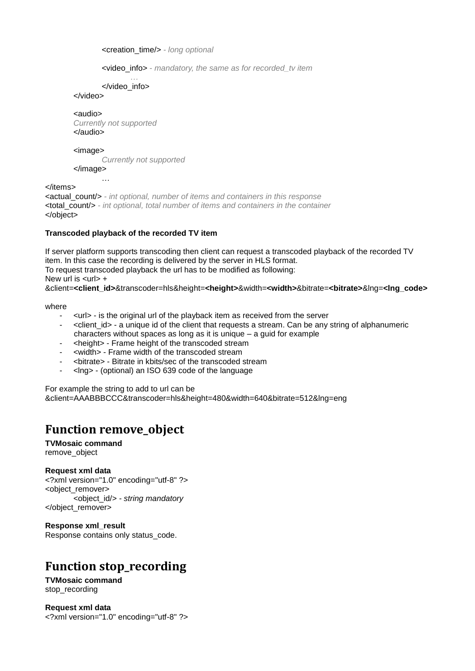<creation\_time/> *- long optional*

<video\_info> *- mandatory, the same as for recorded\_tv item*

*…* </video\_info>

</video>

<audio>

*Currently not supported* </audio>

<image>

*Currently not supported*

</image>

…

</items> <actual\_count/> *- int optional, number of items and containers in this response* <total\_count/> *- int optional, total number of items and containers in the container* </object>

#### **Transcoded playback of the recorded TV item**

If server platform supports transcoding then client can request a transcoded playback of the recorded TV item. In this case the recording is delivered by the server in HLS format. To request transcoded playback the url has to be modified as following: New url is  $\langle$ url $>$  + &client=**<client\_id>**&transcoder=hls&height=**<height>**&width=**<width>**&bitrate=**<bitrate>**&lng=**<lng\_code>**

where

- <url> is the original url of the playback item as received from the server
- <client\_id> a unique id of the client that requests a stream. Can be any string of alphanumeric characters without spaces as long as it is unique – a guid for example
- <height> Frame height of the transcoded stream
- <width> Frame width of the transcoded stream
- <bitrate> Bitrate in kbits/sec of the transcoded stream
- <lng> (optional) an ISO 639 code of the language

For example the string to add to url can be &client=AAABBBCCC&transcoder=hls&height=480&width=640&bitrate=512&lng=eng

## **Function remove\_object**

**TVMosaic command** remove\_object

**Request xml data**

<?xml version="1.0" encoding="utf-8" ?> <object\_remover> <object\_id/> *- string mandatory* </object\_remover>

**Response xml\_result** Response contains only status\_code.

# **Function stop\_recording**

**TVMosaic command** stop\_recording

**Request xml data** <?xml version="1.0" encoding="utf-8" ?>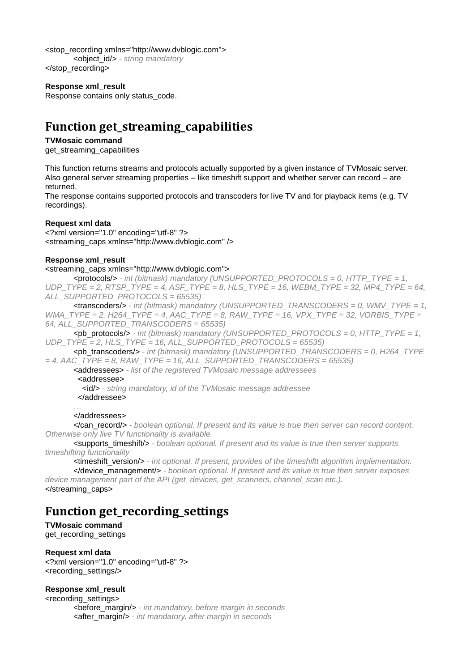<stop\_recording xmlns="http://www.dvblogic.com"> <object\_id/> *- string mandatory* </stop\_recording>

#### **Response xml\_result**

Response contains only status\_code.

## **Function get\_streaming\_capabilities**

#### **TVMosaic command**

get\_streaming\_capabilities

This function returns streams and protocols actually supported by a given instance of TVMosaic server. Also general server streaming properties – like timeshift support and whether server can record – are returned.

The response contains supported protocols and transcoders for live TV and for playback items (e.g. TV recordings).

#### **Request xml data**

<?xml version="1.0" encoding="utf-8" ?> <streaming\_caps xmlns="http://www.dvblogic.com" />

#### **Response xml\_result**

<streaming\_caps xmlns="http://www.dvblogic.com">

<protocols/> *- int (bitmask) mandatory (UNSUPPORTED\_PROTOCOLS = 0, HTTP\_TYPE = 1, UDP\_TYPE = 2, RTSP\_TYPE = 4, ASF\_TYPE = 8, HLS\_TYPE = 16, WEBM\_TYPE = 32, MP4\_TYPE = 64, ALL\_SUPPORTED\_PROTOCOLS = 65535)*

<transcoders/> *- int (bitmask) mandatory (UNSUPPORTED\_TRANSCODERS = 0, WMV\_TYPE = 1, WMA\_TYPE = 2, H264\_TYPE = 4, AAC\_TYPE = 8, RAW\_TYPE = 16, VPX\_TYPE = 32, VORBIS\_TYPE = 64, ALL\_SUPPORTED\_TRANSCODERS = 65535)*

 $\leq$ pb protocols/ $>$  *- int (bitmask) mandatory (UNSUPPORTED\_PROTOCOLS = 0, HTTP\_TYPE = 1,*  $\leq$  *1,*  $\leq$ *UDP\_TYPE = 2, HLS\_TYPE = 16, ALL\_SUPPORTED\_PROTOCOLS = 65535)*

<pb\_transcoders/> *- int (bitmask) mandatory (UNSUPPORTED\_TRANSCODERS = 0, H264\_TYPE = 4, AAC\_TYPE = 8, RAW\_TYPE = 16, ALL\_SUPPORTED\_TRANSCODERS = 65535)*

<addressees> *- list of the registered TVMosaic message addressees*

<addressee>

<id/> *- string mandatory, id of the TVMosaic message addressee*

</addressee>

### …

### </addressees>

</can\_record/> *- boolean optional. If present and its value is true then server can record content. Otherwise only live TV functionality is available.*

<supports\_timeshift/> *- boolean optional. If present and its value is true then server supports timeshifting functionality*

<timeshift\_version/> *- int optional. If present, provides of the timeshiftt algorithm implementation.* </device\_management/> *- boolean optional. If present and its value is true then server exposes* 

*device management part of the API (get\_devices, get\_scanners, channel\_scan etc.).* </streaming\_caps>

### **Function get\_recording\_settings**

**TVMosaic command** get\_recording\_settings

#### **Request xml data**

<?xml version="1.0" encoding="utf-8" ?> <recording\_settings/>

#### **Response xml\_result**

<recording\_settings> <before\_margin/> *- int mandatory, before margin in seconds* <after\_margin/> *- int mandatory, after margin in seconds*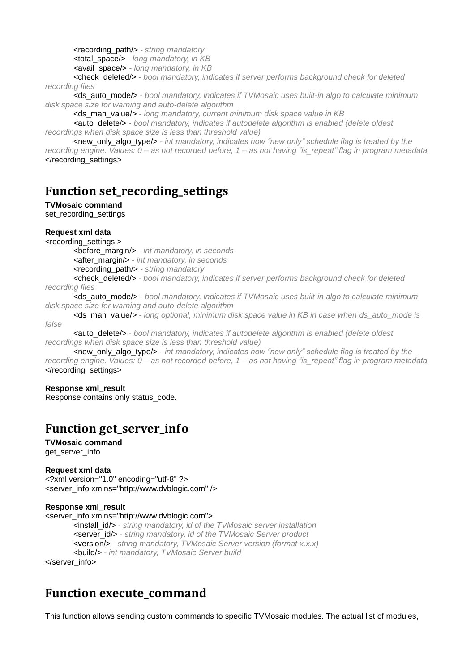<recording\_path/> *- string mandatory*

<total\_space/> *- long mandatory, in KB*

<avail\_space/> *- long mandatory, in KB*

<check\_deleted/> *- bool mandatory, indicates if server performs background check for deleted recording files*

<ds\_auto\_mode/> *- bool mandatory, indicates if TVMosaic uses built-in algo to calculate minimum disk space size for warning and auto-delete algorithm*

<ds\_man\_value/> *- long mandatory, current minimum disk space value in KB*

<auto\_delete/> *- bool mandatory, indicates if autodelete algorithm is enabled (delete oldest recordings when disk space size is less than threshold value)*

<new\_only\_algo\_type/> *- int mandatory, indicates how "new only" schedule flag is treated by the recording engine. Values: 0 – as not recorded before, 1 – as not having "is\_repeat" flag in program metadata* </recording\_settings>

### **Function set\_recording\_settings**

**TVMosaic command**

set recording settings

#### **Request xml data**

<recording\_settings >

<before\_margin/> *- int mandatory, in seconds*

<after\_margin/> *- int mandatory, in seconds*

<recording\_path/> *- string mandatory*

<check\_deleted/> *- bool mandatory, indicates if server performs background check for deleted recording files*

<ds\_auto\_mode/> *- bool mandatory, indicates if TVMosaic uses built-in algo to calculate minimum disk space size for warning and auto-delete algorithm*

<ds\_man\_value/> *- long optional, minimum disk space value in KB in case when ds\_auto\_mode is false*

<auto\_delete/> *- bool mandatory, indicates if autodelete algorithm is enabled (delete oldest recordings when disk space size is less than threshold value)*

<new\_only\_algo\_type/> *- int mandatory, indicates how "new only" schedule flag is treated by the recording engine. Values: 0 – as not recorded before, 1 – as not having "is\_repeat" flag in program metadata* </recording\_settings>

#### **Response xml\_result**

Response contains only status\_code.

## **Function get\_server\_info**

**TVMosaic command** get server info

#### **Request xml data**

<?xml version="1.0" encoding="utf-8" ?> <server\_info xmlns="http://www.dvblogic.com" />

#### **Response xml\_result**

<server\_info xmlns="http://www.dvblogic.com">

<install\_id/> *- string mandatory, id of the TVMosaic server installation* <server\_id/> *- string mandatory, id of the TVMosaic Server product* <version/> *- string mandatory, TVMosaic Server version (format x.x.x)* <build/> *- int mandatory, TVMosaic Server build*

</server\_info>

### **Function execute\_command**

This function allows sending custom commands to specific TVMosaic modules. The actual list of modules,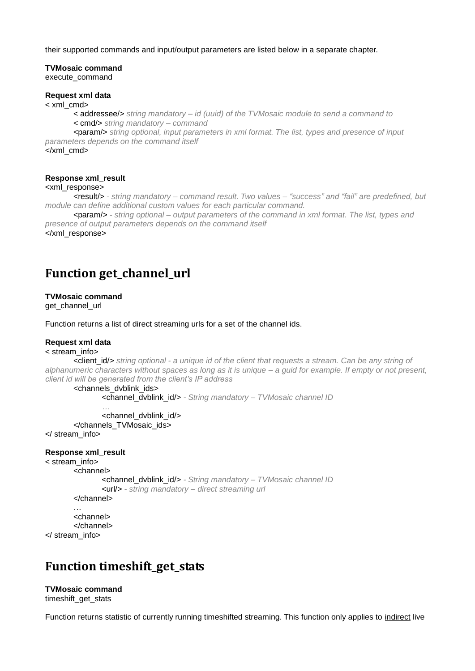their supported commands and input/output parameters are listed below in a separate chapter.

### **TVMosaic command**

execute\_command

#### **Request xml data**

< xml\_cmd>

< addressee/> *string mandatory – id (uuid) of the TVMosaic module to send a command to* < cmd/> *string mandatory – command*

<param/> *string optional, input parameters in xml format. The list, types and presence of input parameters depends on the command itself*

</xml\_cmd>

#### **Response xml\_result**

#### <xml\_response>

<result/> *- string mandatory – command result. Two values – "success" and "fail" are predefined, but module can define additional custom values for each particular command.*

<param/> *- string optional – output parameters of the command in xml format. The list, types and presence of output parameters depends on the command itself* 

</xml\_response>

### **Function get\_channel\_url**

#### **TVMosaic command**

get\_channel\_url

Function returns a list of direct streaming urls for a set of the channel ids.

#### **Request xml data**

#### < stream\_info>

<client\_id/> *string optional - a unique id of the client that requests a stream. Can be any string of alphanumeric characters without spaces as long as it is unique – a guid for example. If empty or not present, client id will be generated from the client's IP address*

<channels\_dvblink\_ids>

<channel\_dvblink\_id/> *- String mandatory – TVMosaic channel ID*

*…* <channel\_dvblink\_id/> </channels\_TVMosaic\_ids>

</ stream\_info>

#### **Response xml\_result**

< stream\_info>

<channel>

<channel\_dvblink\_id/> *- String mandatory – TVMosaic channel ID* <url/> *- string mandatory – direct streaming url*

</channel>

… <channel> </channel>

</ stream\_info>

### **Function timeshift\_get\_stats**

**TVMosaic command** timeshift\_get\_stats

Function returns statistic of currently running timeshifted streaming. This function only applies to indirect live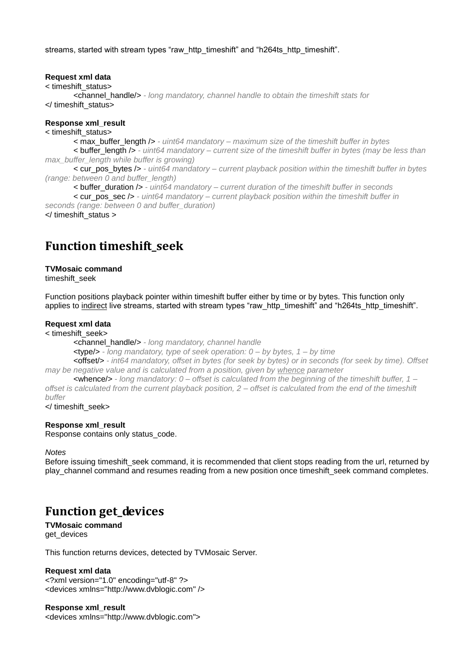streams, started with stream types "raw\_http\_timeshift" and "h264ts\_http\_timeshift".

#### **Request xml data**

< timeshift\_status>

<channel\_handle/> *- long mandatory, channel handle to obtain the timeshift stats for* </ timeshift\_status>

#### **Response xml\_result**

< timeshift\_status>

< max\_buffer\_length /> *- uint64 mandatory – maximum size of the timeshift buffer in bytes*

< buffer\_length /> *- uint64 mandatory – current size of the timeshift buffer in bytes (may be less than max\_buffer\_length while buffer is growing)*

< cur\_pos\_bytes /> *- uint64 mandatory – current playback position within the timeshift buffer in bytes (range: between 0 and buffer\_length)*

< buffer\_duration /> *- uint64 mandatory – current duration of the timeshift buffer in seconds*

< cur\_pos\_sec /> *- uint64 mandatory – current playback position within the timeshift buffer in seconds (range: between 0 and buffer\_duration)*

</ timeshift\_status >

### **Function timeshift\_seek**

#### **TVMosaic command**

timeshift\_seek

Function positions playback pointer within timeshift buffer either by time or by bytes. This function only applies to indirect live streams, started with stream types "raw http\_timeshift" and "h264ts\_http\_timeshift".

#### **Request xml data**

< timeshift\_seek>

<channel\_handle/> *- long mandatory, channel handle*

<type/> *- long mandatory, type of seek operation: 0 – by bytes, 1 – by time*

<offset/> *- int64 mandatory, offset in bytes (for seek by bytes) or in seconds (for seek by time). Offset may be negative value and is calculated from a position, given by whence parameter*

<whence/> *- long mandatory: 0 – offset is calculated from the beginning of the timeshift buffer, 1 – offset is calculated from the current playback position, 2 – offset is calculated from the end of the timeshift buffer*

</ timeshift\_seek>

#### **Response xml\_result**

Response contains only status\_code.

#### *Notes*

Before issuing timeshift seek command, it is recommended that client stops reading from the url, returned by play channel command and resumes reading from a new position once timeshift seek command completes.

### **Function get\_devices**

**TVMosaic command** get\_devices

This function returns devices, detected by TVMosaic Server.

#### **Request xml data**

<?xml version="1.0" encoding="utf-8" ?> <devices xmlns="http://www.dvblogic.com" />

#### **Response xml\_result**

<devices xmlns="http://www.dvblogic.com">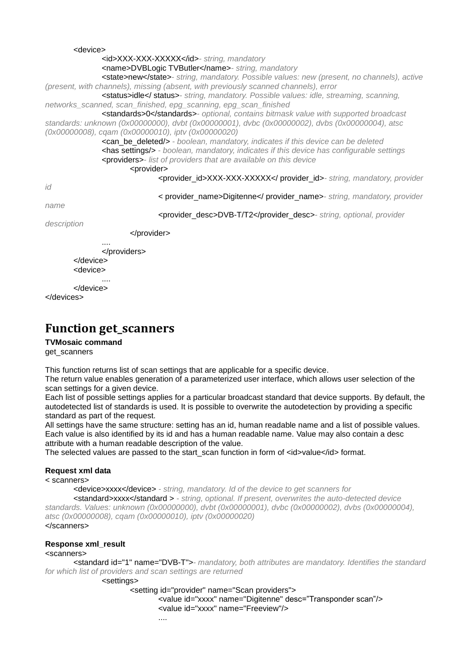```
<device>
               <id>XXX-XXX-XXXXX</id>- string, mandatory
               <name>DVBLogic TVButler</name>- string, mandatory
               <state>new</state>- string, mandatory. Possible values: new (present, no channels), active 
(present, with channels), missing (absent, with previously scanned channels), error
               <status>idle</ status>- string, mandatory. Possible values: idle, streaming, scanning, 
networks_scanned, scan_finished, epg_scanning, epg_scan_finished 
               <standards>0</standards>- optional, contains bitmask value with supported broadcast 
standards: unknown (0x00000000), dvbt (0x00000001), dvbc (0x00000002), dvbs (0x00000004), atsc
(0x00000008), cqam (0x00000010), iptv (0x00000020)
               <can_be_deleted/> - boolean, mandatory, indicates if this device can be deleted
               <has settings/> - boolean, mandatory, indicates if this device has configurable settings
               <providers>- list of providers that are available on this device
                       <provider>
                               <provider_id>XXX-XXX-XXXXX</ provider_id>- string, mandatory, provider 
id
                               < provider_name>Digitenne</ provider_name>- string, mandatory, provider 
name
                               <provider_desc>DVB-T/T2</provider_desc>- string, optional, provider 
description
                       </provider>
                ....
               </providers>
       </device>
       <device>
                ....
       </device>
</devices>
```
### **Function get\_scanners**

#### **TVMosaic command**

get\_scanners

This function returns list of scan settings that are applicable for a specific device.

The return value enables generation of a parameterized user interface, which allows user selection of the scan settings for a given device.

Each list of possible settings applies for a particular broadcast standard that device supports. By default, the autodetected list of standards is used. It is possible to overwrite the autodetection by providing a specific standard as part of the request.

All settings have the same structure: setting has an id, human readable name and a list of possible values. Each value is also identified by its id and has a human readable name. Value may also contain a desc attribute with a human readable description of the value.

The selected values are passed to the start scan function in form of <id>value</id> format.

#### **Request xml data**

< scanners>

<device>xxxx</device> *- string, mandatory. Id of the device to get scanners for*

<standard>xxxx</standard > *- string, optional. If present, overwrites the auto-detected device standards. Values: unknown (0x00000000), dvbt (0x00000001), dvbc (0x00000002), dvbs (0x00000004), atsc (0x00000008), cqam (0x00000010), iptv (0x00000020)*

</scanners>

#### **Response xml\_result**

<scanners>

<standard id="1" name="DVB-T">*- mandatory, both attributes are mandatory. Identifies the standard for which list of providers and scan settings are returned*

<settings>

<setting id="provider" name="Scan providers">

<value id="xxxx" name="Digitenne" desc="Transponder scan"/>

<value id="xxxx" name="Freeview"/>

....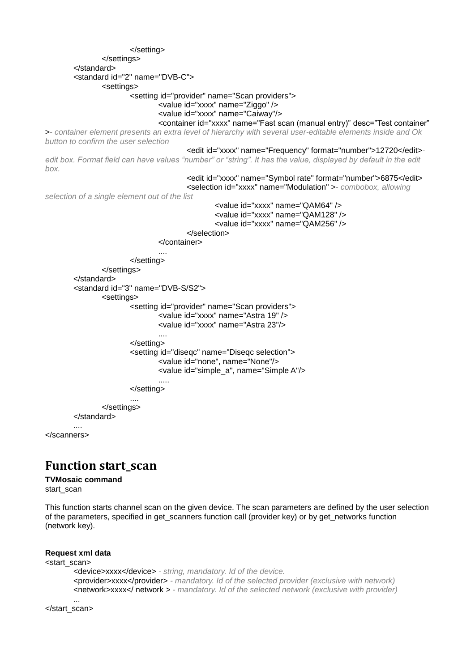```
</setting>
               </settings>
        </standard>
        <standard id="2" name="DVB-C">
               <settings>
                        <setting id="provider" name="Scan providers">
                               <value id="xxxx" name="Ziggo" />
                               <value id="xxxx" name="Caiway"/>
                               <container id="xxxx" name="Fast scan (manual entry)" desc="Test container" 
>- container element presents an extra level of hierarchy with several user-editable elements inside and Ok 
button to confirm the user selection
                                       <edit id="xxxx" name="Frequency" format="number">12720</edit>-
edit box. Format field can have values "number" or "string". It has the value, displayed by default in the edit
box.
                                       <edit id="xxxx" name="Symbol rate" format="number">6875</edit>
                                       <selection id="xxxx" name="Modulation" >- combobox, allowing 
selection of a single element out of the list
                                               <value id="xxxx" name="QAM64" />
                                               <value id="xxxx" name="QAM128" />
                                               <value id="xxxx" name="QAM256" />
                                       </selection>
                               </container>
                               ....
                       </setting>
               </settings>
        </standard>
        <standard id="3" name="DVB-S/S2">
               <settings>
                       <setting id="provider" name="Scan providers">
                               <value id="xxxx" name="Astra 19" />
                               <value id="xxxx" name="Astra 23"/>
                               ....
                       </setting>
                       <setting id="diseqc" name="Diseqc selection">
                               <value id="none", name="None"/>
                               <value id="simple_a", name="Simple A"/>
                               .....
                       </setting>
                        ....
                </settings>
        </standard>
        ....
</scanners>
```
### **Function start\_scan**

#### **TVMosaic command**

start\_scan

This function starts channel scan on the given device. The scan parameters are defined by the user selection of the parameters, specified in get scanners function call (provider key) or by get networks function (network key).

#### **Request xml data**

<start\_scan> <device>xxxx</device> *- string, mandatory. Id of the device.* <provider>xxxx</provider> *- mandatory. Id of the selected provider (exclusive with network)* <network>xxxx</ network > *- mandatory. Id of the selected network (exclusive with provider)* ...

</start\_scan>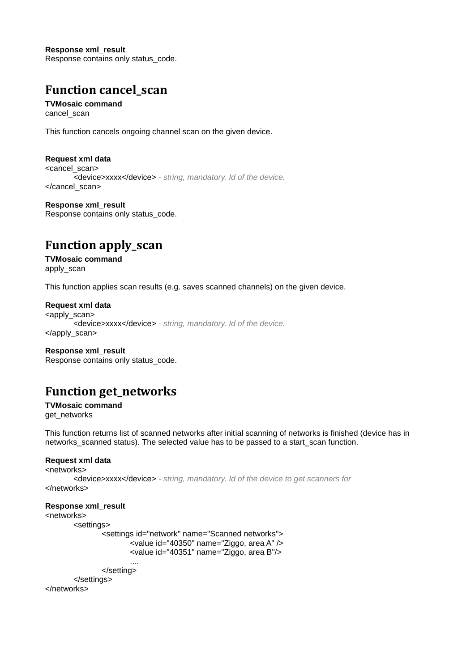**Response xml\_result** Response contains only status\_code.

## **Function cancel\_scan**

**TVMosaic command** cancel\_scan

This function cancels ongoing channel scan on the given device.

**Request xml data** <cancel\_scan> <device>xxxx</device> *- string, mandatory. Id of the device.* </cancel\_scan>

**Response xml\_result** Response contains only status\_code.

## **Function apply\_scan**

**TVMosaic command** apply\_scan

This function applies scan results (e.g. saves scanned channels) on the given device.

**Request xml data**

<apply\_scan> <device>xxxx</device> *- string, mandatory. Id of the device.* </apply\_scan>

**Response xml\_result** Response contains only status\_code.

## **Function get\_networks**

**TVMosaic command** get\_networks

This function returns list of scanned networks after initial scanning of networks is finished (device has in networks scanned status). The selected value has to be passed to a start scan function.

#### **Request xml data**

<networks> <device>xxxx</device> *- string, mandatory. Id of the device to get scanners for* </networks>

#### **Response xml\_result**

<networks> <settings> <settings id="network" name="Scanned networks"> <value id="40350" name="Ziggo, area A" /> <value id="40351" name="Ziggo, area B"/> ....

</setting> </settings>

</networks>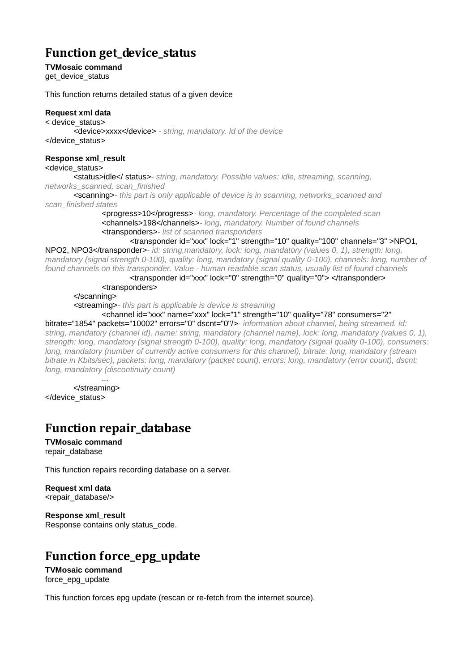## **Function get\_device\_status**

**TVMosaic command**

get\_device\_status

This function returns detailed status of a given device

#### **Request xml data**

< device\_status> <device>xxxx</device> *- string, mandatory. Id of the device* </device\_status>

#### **Response xml\_result**

#### <device\_status>

<status>idle</ status>*- string, mandatory. Possible values: idle, streaming, scanning, networks\_scanned, scan\_finished* 

<scanning>*- this part is only applicable of device is in scanning, networks\_scanned and scan\_finished states*

<progress>10</progress>*- long, mandatory. Percentage of the completed scan* <channels>198</channels>*- long, mandatory. Number of found channels* <transponders>*- list of scanned transponders*

<transponder id="xxx" lock="1" strength="10" quality="100" channels="3" >NPO1,

NPO2, NPO3</transponder>*- id: string,mandatory, lock: long, mandatory (values 0, 1), strength: long, mandatory (signal strength 0-100), quality: long, mandatory (signal quality 0-100), channels: long, number of found channels on this transponder. Value - human readable scan status, usually list of found channels*

> <transponder id="xxx" lock="0" strength="0" quality="0"> </transponder> <transponders>

</scanning>

<streaming>*- this part is applicable is device is streaming*

<channel id="xxx" name="xxx" lock="1" strength="10" quality="78" consumers="2"

bitrate="1854" packets="10002" errors="0" dscnt="0"/>*- information about channel, being streamed. id: string, mandatory (channel id), name: string, mandatory (channel name), lock: long, mandatory (values 0, 1), strength: long, mandatory (signal strength 0-100), quality: long, mandatory (signal quality 0-100), consumers: long, mandatory (number of currently active consumers for this channel), bitrate: long, mandatory (stream bitrate in Kbits/sec), packets: long, mandatory (packet count), errors: long, mandatory (error count), dscnt: long, mandatory (discontinuity count)*

... </streaming> </device\_status>

### **Function repair\_database**

**TVMosaic command** repair\_database

This function repairs recording database on a server.

**Request xml data** <repair\_database/>

**Response xml\_result** Response contains only status\_code.

## **Function force\_epg\_update**

**TVMosaic command** force epg update

This function forces epg update (rescan or re-fetch from the internet source).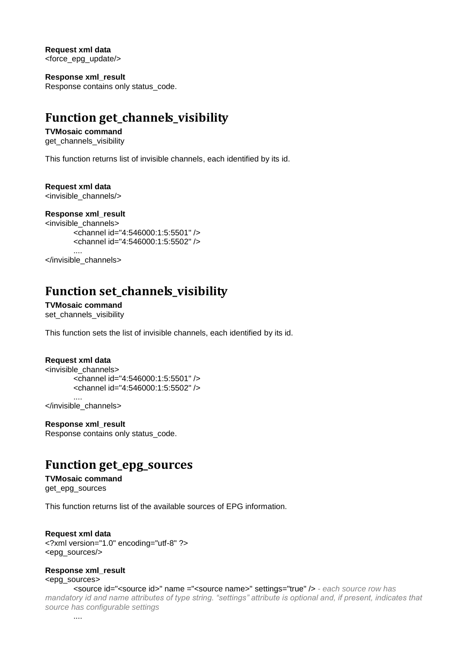**Request xml data** <force\_epg\_update/>

**Response xml\_result** Response contains only status\_code.

## **Function get\_channels\_visibility**

### **TVMosaic command**

get channels visibility

This function returns list of invisible channels, each identified by its id.

#### **Request xml data**

<invisible\_channels/>

#### **Response xml\_result**

```
<invisible_channels>
       <channel id="4:546000:1:5:5501" />
       <channel id="4:546000:1:5:5502" />
        ....
</invisible_channels>
```
## **Function set\_channels\_visibility**

**TVMosaic command** set\_channels\_visibility

This function sets the list of invisible channels, each identified by its id.

#### **Request xml data**

<invisible\_channels> <channel id="4:546000:1:5:5501" /> <channel id="4:546000:1:5:5502" /> ....

</invisible\_channels>

**Response xml\_result** Response contains only status\_code.

### **Function get\_epg\_sources**

#### **TVMosaic command** get\_epg\_sources

This function returns list of the available sources of EPG information.

#### **Request xml data** <?xml version="1.0" encoding="utf-8" ?> <epg\_sources/>

**Response xml\_result**

<epg\_sources>

<source id="<source id>" name ="<source name>" settings="true" /> *- each source row has mandatory id and name attributes of type string. "settings" attribute is optional and, if present, indicates that source has configurable settings*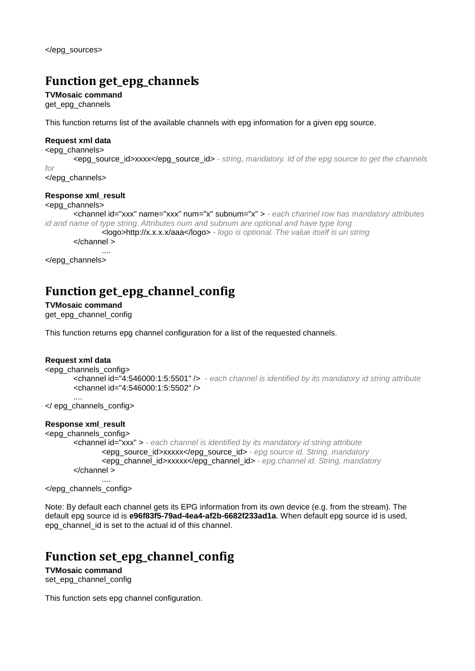# **Function get\_epg\_channels**

**TVMosaic command**

get\_epg\_channels

This function returns list of the available channels with epg information for a given epg source.

#### **Request xml data**

<epg\_channels>

<epg\_source\_id>xxxx</epg\_source\_id> *- string, mandatory. Id of the epg source to get the channels for*

</epg\_channels>

#### **Response xml\_result**

#### <epg\_channels>

```
<channel id="xxx" name="xxx" num="x" subnum="x" > - each channel row has mandatory attributes 
id and name of type string. Attributes num and subnum are optional and have type long
                <logo>http://x.x.x.x/aaa</logo> - logo is optional. The value itself is uri string
```
</channel >

.... </epg\_channels>

# **Function get\_epg\_channel\_config**

**TVMosaic command** get\_epg\_channel\_config

This function returns epg channel configuration for a list of the requested channels.

#### **Request xml data**

```
<epg_channels_config>
       <channel id="4:546000:1:5:5501" /> - each channel is identified by its mandatory id string attribute
       <channel id="4:546000:1:5:5502" />
       ....
```
</ epg\_channels\_config>

#### **Response xml\_result**

```
<epg_channels_config>
       <channel id="xxx" > - each channel is identified by its mandatory id string attribute
               <epg_source_id>xxxxx</epg_source_id> - epg source id. String, mandatory
               <epg_channel_id>xxxxx</epg_channel_id> - epg channel id. String, mandatory
       </channel >
               ....
```
</epg\_channels\_config>

Note: By default each channel gets its EPG information from its own device (e.g. from the stream). The default epg source id is **e96f83f5-79ad-4ea4-af2b-6682f233ad1a**. When default epg source id is used, epg\_channel\_id is set to the actual id of this channel.

## **Function set\_epg\_channel\_config**

**TVMosaic command** set\_epg\_channel\_config

This function sets epg channel configuration.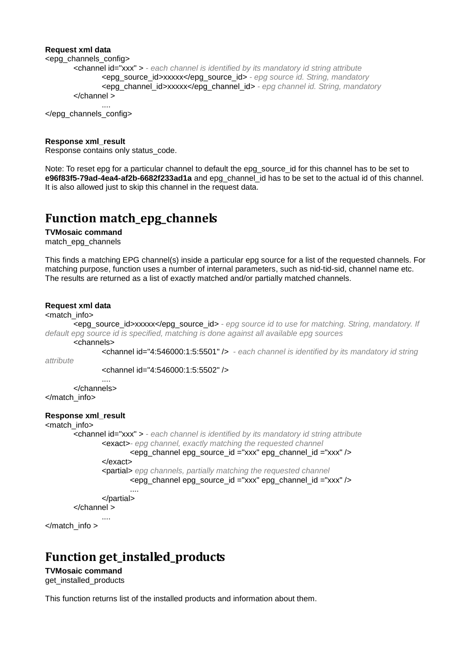#### **Request xml data**

```
<epg_channels_config>
       <channel id="xxx" > - each channel is identified by its mandatory id string attribute
               <epg_source_id>xxxxx</epg_source_id> - epg source id. String, mandatory
               <epg_channel_id>xxxxx</epg_channel_id> - epg channel id. String, mandatory
       </channel >
               ....
```
</epg\_channels\_config>

#### **Response xml\_result**

Response contains only status\_code.

Note: To reset epg for a particular channel to default the epg\_source\_id for this channel has to be set to **e96f83f5-79ad-4ea4-af2b-6682f233ad1a** and epg\_channel\_id has to be set to the actual id of this channel. It is also allowed just to skip this channel in the request data.

### **Function match\_epg\_channels**

**TVMosaic command** match\_epg\_channels

This finds a matching EPG channel(s) inside a particular epg source for a list of the requested channels. For matching purpose, function uses a number of internal parameters, such as nid-tid-sid, channel name etc. The results are returned as a list of exactly matched and/or partially matched channels.

#### **Request xml data**

#### <match\_info>

<epg\_source\_id>xxxxx</epg\_source\_id> *- epg source id to use for matching. String, mandatory. If default epg source id is specified, matching is done against all available epg sources*

<channels>

<channel id="4:546000:1:5:5501" /> *- each channel is identified by its mandatory id string* 

*attribute*

<channel id="4:546000:1:5:5502" />

.... </channels> </match\_info>

#### **Response xml\_result**

```
<match_info>
       <channel id="xxx" > - each channel is identified by its mandatory id string attribute
               <exact>- epg channel, exactly matching the requested channel
                       <epg_channel epg_source_id ="xxx" epg_channel_id ="xxx" />
               </exact>
               <partial> epg channels, partially matching the requested channel
                       <epg_channel epg_source_id ="xxx" epg_channel_id ="xxx" />
                        ....
               </partial>
       </channel >
                ....
</match_info >
```
### **Function get\_installed\_products**

**TVMosaic command** get\_installed\_products

This function returns list of the installed products and information about them.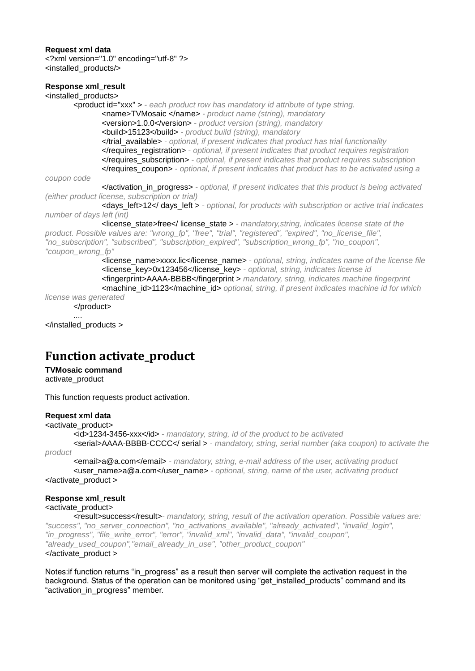#### **Request xml data**

<?xml version="1.0" encoding="utf-8" ?> <installed\_products/>

### **Response xml\_result**

<installed\_products> <product id="xxx" > *- each product row has mandatory id attribute of type string.* <name>TVMosaic </name> *- product name (string), mandatory* <version>1.0.0</version> *- product version (string), mandatory* <build>15123</build> *- product build (string), mandatory* </trial\_available> *- optional, if present indicates that product has trial functionality* </requires\_registration> *- optional, if present indicates that product requires registration* </requires\_subscription> *- optional, if present indicates that product requires subscription* </requires\_coupon> *- optional, if present indicates that product has to be activated using a coupon code* </activation\_in\_progress> *- optional, if present indicates that this product is being activated (either product license, subscription or trial)*

<days\_left>12</ days\_left > *- optional, for products with subscription or active trial indicates number of days left (int)*

<license\_state>free</ license\_state > *- mandatory,string, indicates license state of the product. Possible values are: "wrong\_fp", "free", "trial", "registered", "expired", "no\_license\_file", "no\_subscription", "subscribed", "subscription\_expired", "subscription\_wrong\_fp", "no\_coupon", "coupon\_wrong\_fp"*

<license\_name>xxxx.lic</license\_name> *- optional, string, indicates name of the license file* <license\_key>0x123456</license\_key> *- optional, string, indicates license id* <fingerprint>AAAA-BBBB</fingerprint > *mandatory, string, indicates machine fingerprint* <machine\_id>1123</machine\_id> *optional, string, if present indicates machine id for which license was generated*

</product>

</installed\_products >

....

### **Function activate\_product**

#### **TVMosaic command**

activate\_product

This function requests product activation.

#### **Request xml data**

#### <activate\_product>

<id>1234-3456-xxx</id> *- mandatory, string, id of the product to be activated* <serial>AAAA-BBBB-CCCC</ serial > *- mandatory, string, serial number (aka coupon) to activate the* 

*product*

<email>a@a.com</email> *- mandatory, string, e-mail address of the user, activating product* <user\_name>a@a.com</user\_name> *- optional, string, name of the user, activating product* </activate\_product >

#### **Response xml\_result**

<activate\_product>

<result>success</result>*- mandatory, string, result of the activation operation. Possible values are: "success", "no\_server\_connection", "no\_activations\_available", "already\_activated", "invalid\_login", "in\_progress", "file\_write\_error", "error", "invalid\_xml", "invalid\_data", "invalid\_coupon", "already\_used\_coupon","email\_already\_in\_use", "other\_product\_coupon"* </activate\_product >

Notes: if function returns "in progress" as a result then server will complete the activation request in the background. Status of the operation can be monitored using "get\_installed\_products" command and its "activation\_in\_progress" member.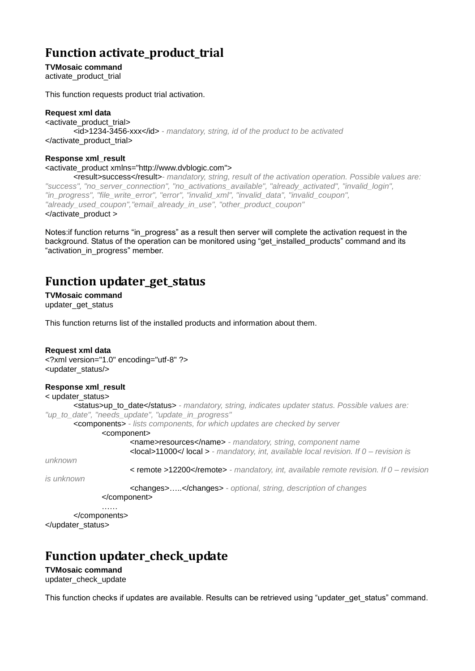# **Function activate\_product\_trial**

**TVMosaic command** activate\_product\_trial

This function requests product trial activation.

#### **Request xml data**

<activate\_product\_trial> <id>1234-3456-xxx</id> *- mandatory, string, id of the product to be activated* </activate\_product\_trial>

#### **Response xml\_result**

<activate\_product xmlns="http://www.dvblogic.com">

<result>success</result>*- mandatory, string, result of the activation operation. Possible values are: "success", "no\_server\_connection", "no\_activations\_available", "already\_activated", "invalid\_login", "in\_progress", "file\_write\_error", "error", "invalid\_xml", "invalid\_data", "invalid\_coupon", "already\_used\_coupon","email\_already\_in\_use", "other\_product\_coupon"* </activate\_product >

Notes: if function returns "in progress" as a result then server will complete the activation request in the background. Status of the operation can be monitored using "get\_installed\_products" command and its "activation\_in\_progress" member.

### **Function updater\_get\_status**

**TVMosaic command** updater\_get\_status

This function returns list of the installed products and information about them.

#### **Request xml data**

<?xml version="1.0" encoding="utf-8" ?> <updater\_status/>

#### **Response xml\_result**

```
< updater_status>
       <status>up_to_date</status> - mandatory, string, indicates updater status. Possible values are: 
"up_to_date", "needs_update", "update_in_progress" 
       <components> - lists components, for which updates are checked by server
               <component>
                       <name>resources</name> - mandatory, string, component name
                       <local>11000</ local > - mandatory, int, available local revision. If 0 – revision is
```
*unknown*

< remote >12200</remote> *- mandatory, int, available remote revision. If 0 – revision* 

*is unknown*

<changes>…..</changes> *- optional, string, description of changes* </component>

…… </components>

</updater\_status>

## **Function updater\_check\_update**

**TVMosaic command** updater\_check\_update

This function checks if updates are available. Results can be retrieved using "updater get status" command.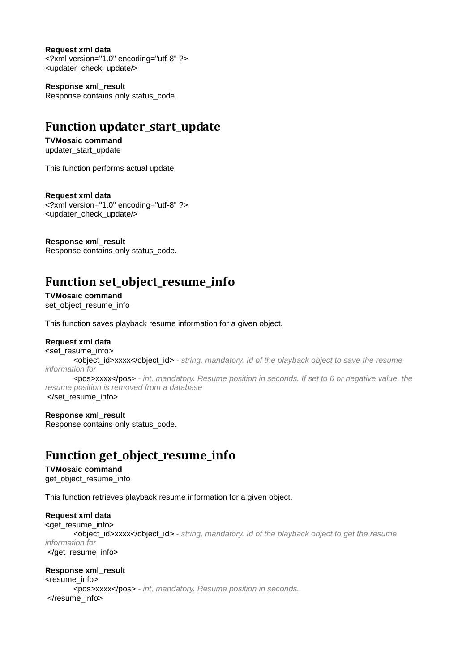**Request xml data** <?xml version="1.0" encoding="utf-8" ?> <updater\_check\_update/>

**Response xml\_result** Response contains only status\_code.

## **Function updater\_start\_update**

**TVMosaic command** updater\_start\_update

This function performs actual update.

**Request xml data** <?xml version="1.0" encoding="utf-8" ?> <updater\_check\_update/>

**Response xml\_result** Response contains only status\_code.

# **Function set\_object\_resume\_info**

**TVMosaic command** set\_object\_resume\_info

This function saves playback resume information for a given object.

#### **Request xml data**

<set\_resume\_info> <object\_id>xxxx</object\_id> *- string, mandatory. Id of the playback object to save the resume information for* <pos>xxxx</pos> *- int, mandatory. Resume position in seconds. If set to 0 or negative value, the resume position is removed from a database* </set\_resume\_info>

#### **Response xml\_result**

Response contains only status\_code.

## **Function get\_object\_resume\_info**

### **TVMosaic command**

get\_object\_resume\_info

This function retrieves playback resume information for a given object.

#### **Request xml data**

```
<get_resume_info>
```
<object\_id>xxxx</object\_id> *- string, mandatory. Id of the playback object to get the resume information for* </get\_resume\_info>

#### **Response xml\_result**

<resume\_info> <pos>xxxx</pos> *- int, mandatory. Resume position in seconds.* </resume\_info>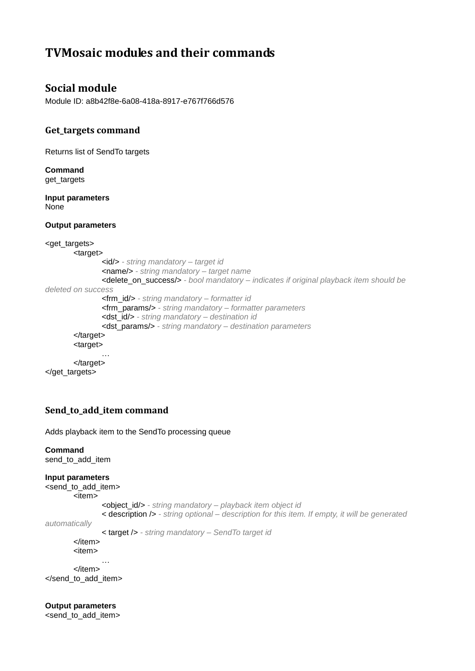# **TVMosaic modules and their commands**

### **Social module**

Module ID: a8b42f8e-6a08-418a-8917-e767f766d576

### **Get\_targets command**

Returns list of SendTo targets

**Command** get\_targets

**Input parameters** None

**Output parameters**

```
<get_targets>
       <target>
               <id/> - string mandatory – target id
               <name/> - string mandatory – target name
               <delete_on_success/> - bool mandatory – indicates if original playback item should be 
deleted on success
               <frm_id/> - string mandatory – formatter id
               <frm_params/> - string mandatory – formatter parameters
               <dst_id/> - string mandatory – destination id
               <dst_params/> - string mandatory – destination parameters
       </target>
       <target>
                …
       </target>
</get_targets>
```
### **Send\_to\_add\_item command**

Adds playback item to the SendTo processing queue

#### **Command** send to add item

#### **Input parameters**

<send\_to\_add\_item>

```
<item>
```
<object\_id/> *- string mandatory – playback item object id*

< description /> *- string optional – description for this item. If empty, it will be generated* 

*automatically*

< target /> *- string mandatory – SendTo target id*

</item>

<item>

… </item> </send\_to\_add\_item>

**Output parameters** <send\_to\_add\_item>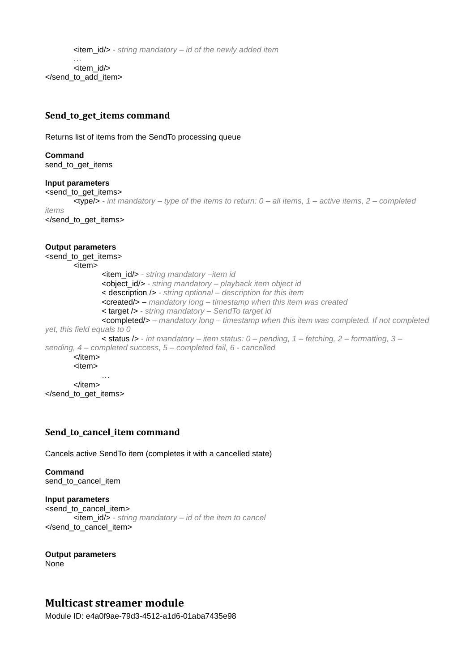<item\_id/> *- string mandatory – id of the newly added item* … <item\_id/> </send\_to\_add\_item>

### **Send\_to\_get\_items command**

Returns list of items from the SendTo processing queue

## **Command**

send\_to\_get\_items

#### **Input parameters**

<send\_to\_get\_items> <type/> *- int mandatory – type of the items to return: 0 – all items, 1 – active items, 2 – completed items*

</send\_to\_get\_items>

#### **Output parameters**

```
<send_to_get_items>
        <item>
                <item_id/> - string mandatory –item id
                <object_id/> - string mandatory – playback item object id
                < description /> - string optional – description for this item
                <created/> – mandatory long – timestamp when this item was created
                < target /> - string mandatory – SendTo target id
                <completed/> – mandatory long – timestamp when this item was completed. If not completed 
yet, this field equals to 0
                < status /> - int mandatory – item status: 0 – pending, 1 – fetching, 2 – formatting, 3 –
sending, 4 – completed success, 5 – completed fail, 6 - cancelled
        </item>
        <item>
                …
        </item>
</send_to_get_items>
```
### **Send\_to\_cancel\_item command**

Cancels active SendTo item (completes it with a cancelled state)

#### **Command** send\_to\_cancel\_item

#### **Input parameters** <send\_to\_cancel\_item> <item\_id/> *- string mandatory – id of the item to cancel* </send\_to\_cancel\_item>

**Output parameters** None

### **Multicast streamer module**

Module ID: e4a0f9ae-79d3-4512-a1d6-01aba7435e98